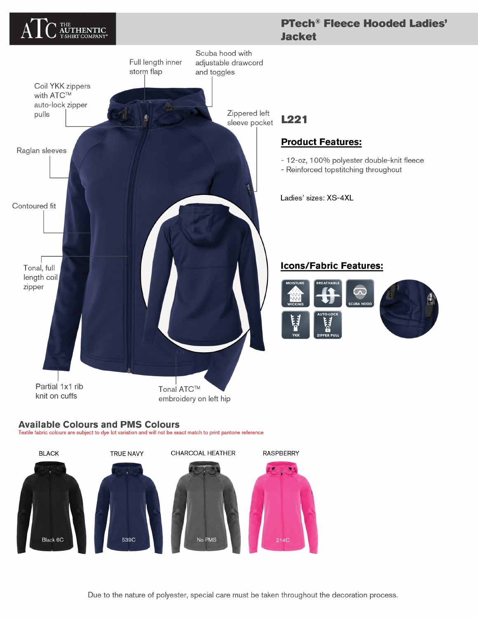

## **Available Colours and PMS Colours**

Textile fabric colours are subject to dye lot variation and will not be exact match to print pantone reference



Due to the nature of polyester, special care must be taken throughout the decoration process.